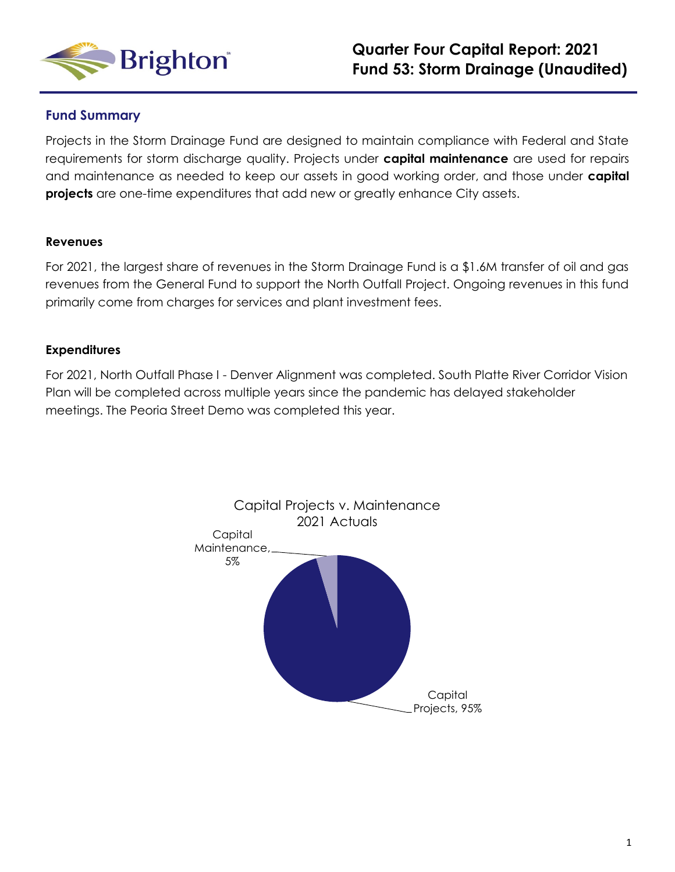

### **Fund Summary**

Projects in the Storm Drainage Fund are designed to maintain compliance with Federal and State requirements for storm discharge quality. Projects under **capital maintenance** are used for repairs and maintenance as needed to keep our assets in good working order, and those under **capital projects** are one-time expenditures that add new or greatly enhance City assets.

#### **Revenues**

For 2021, the largest share of revenues in the Storm Drainage Fund is a \$1.6M transfer of oil and gas revenues from the General Fund to support the North Outfall Project. Ongoing revenues in this fund primarily come from charges for services and plant investment fees.

### **Expenditures**

For 2021, North Outfall Phase I - Denver Alignment was completed. South Platte River Corridor Vision Plan will be completed across multiple years since the pandemic has delayed stakeholder meetings. The Peoria Street Demo was completed this year.